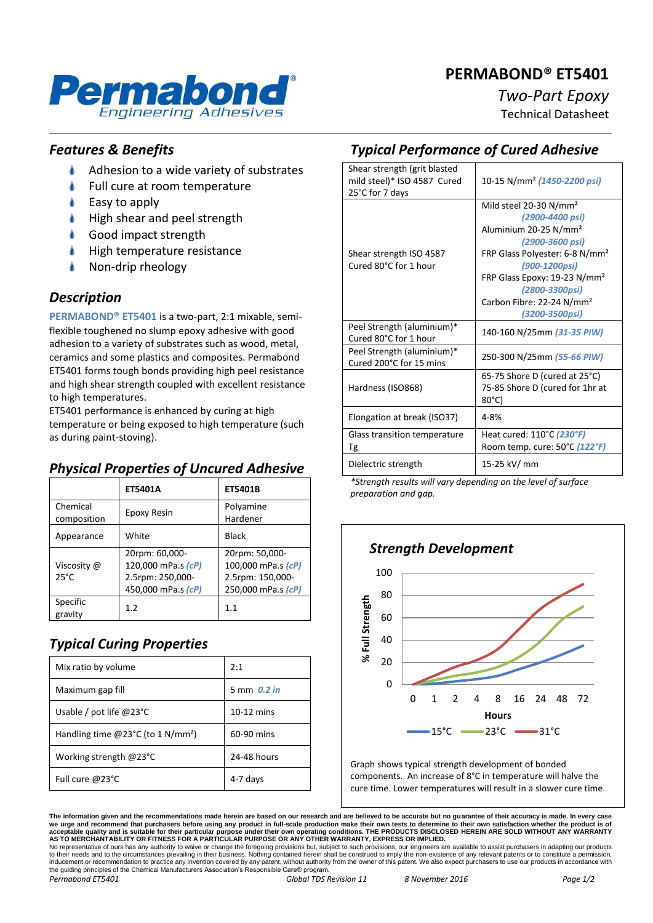# **PERMABOND® ET5401**



# *Two-Part Epoxy*

Technical Datasheet

#### *Features & Benefits*

- ۸ Adhesion to a wide variety of substrates
- Full cure at room temperature
- Easy to apply
- High shear and peel strength
- Good impact strength
- High temperature resistance
- Non-drip rheology

#### *Description*

**PERMABOND® ET5401** is a two-part, 2:1 mixable, semiflexible toughened no slump epoxy adhesive with good adhesion to a variety of substrates such as wood, metal, ceramics and some plastics and composites. Permabond ET5401 forms tough bonds providing high peel resistance and high shear strength coupled with excellent resistance to high temperatures.

ET5401 performance is enhanced by curing at high temperature or being exposed to high temperature (such as during paint-stoving).

### *Physical Properties of Uncured Adhesive*

|                               | ET5401A                                                                        | ET5401B                                                                        |
|-------------------------------|--------------------------------------------------------------------------------|--------------------------------------------------------------------------------|
| Chemical<br>composition       | Epoxy Resin                                                                    | Polyamine<br>Hardener                                                          |
| Appearance                    | White                                                                          | Black                                                                          |
| Viscosity @<br>$25^{\circ}$ C | 20rpm: 60,000-<br>120,000 mPa.s (cP)<br>2.5rpm: 250,000-<br>450,000 mPa.s (cP) | 20rpm: 50,000-<br>100,000 mPa.s (cP)<br>2.5rpm: 150,000-<br>250,000 mPa.s (cP) |
| Specific<br>gravity           | 1.2                                                                            | 1.1                                                                            |

# *Typical Curing Properties*

| Mix ratio by volume                                        | 2:1           |
|------------------------------------------------------------|---------------|
| Maximum gap fill                                           | 5 mm $0.2$ in |
| Usable / pot life $@23^{\circ}C$                           | $10-12$ mins  |
| Handling time @23 <sup>o</sup> C (to 1 N/mm <sup>2</sup> ) | 60-90 mins    |
| Working strength $@23^{\circ}C$                            | 24-48 hours   |
| Full cure @23°C                                            | 4-7 days      |

# *Typical Performance of Cured Adhesive*

| Shear strength (grit blasted<br>mild steel)* ISO 4587 Cured<br>25°C for 7 days | 10-15 N/mm <sup>2</sup> (1450-2200 psi)                                                                                                                                                                                                                                                               |
|--------------------------------------------------------------------------------|-------------------------------------------------------------------------------------------------------------------------------------------------------------------------------------------------------------------------------------------------------------------------------------------------------|
| Shear strength ISO 4587<br>Cured 80°C for 1 hour                               | Mild steel 20-30 N/mm <sup>2</sup><br>(2900-4400 psi)<br>Aluminium 20-25 N/mm <sup>2</sup><br>(2900-3600 psi)<br>FRP Glass Polyester: 6-8 N/mm <sup>2</sup><br>(900-1200psi)<br>FRP Glass Epoxy: 19-23 N/mm <sup>2</sup><br>(2800-3300psi)<br>Carbon Fibre: 22-24 N/mm <sup>2</sup><br>(3200-3500psi) |
| Peel Strength (aluminium)*<br>Cured 80°C for 1 hour                            | 140-160 N/25mm (31-35 PIW)                                                                                                                                                                                                                                                                            |
| Peel Strength (aluminium)*<br>Cured 200°C for 15 mins                          | 250-300 N/25mm (55-66 PIW)                                                                                                                                                                                                                                                                            |
| Hardness (ISO868)                                                              | 65-75 Shore D (cured at 25°C)<br>75-85 Shore D (cured for 1hr at<br>80°C)                                                                                                                                                                                                                             |
| Elongation at break (ISO37)                                                    | $4 - 8%$                                                                                                                                                                                                                                                                                              |
| Glass transition temperature<br>Tg                                             | Heat cured: 110°C (230°F)<br>Room temp. cure: 50°C (122°F)                                                                                                                                                                                                                                            |
| Dielectric strength                                                            | 15-25 kV/ mm                                                                                                                                                                                                                                                                                          |

*\*Strength results will vary depending on the level of surface preparation and gap.*



Graph shows typical strength development of bonded components. An increase of 8°C in temperature will halve the cure time. Lower temperatures will result in a slower cure time.

**The information given and the recommendations made herein are based on our research and are believed to be accurate but no guarantee of their accuracy is made. In every case**  we urge and recommend that purchasers before using any product in full-scale production make their own tests to determine to their own satisfaction whether the product is of<br>acceptable quality and is suitable for their par

to their needs and to the circumstances prevailing in their business. Nothing contained herein shall be construed to imply the non-existence of any relevant patents or to constitute a permission, inducement or recommendation to practice any invention covered by any patent, without authority from the owner of this patent. We also expect purchasers to use our products in accordance with the guiding principles of the Chemical Manufacturers Association's Responsible Care® program *Permabond ET5401 Global TDS Revision 11 8 November 2016 Page 1/2*